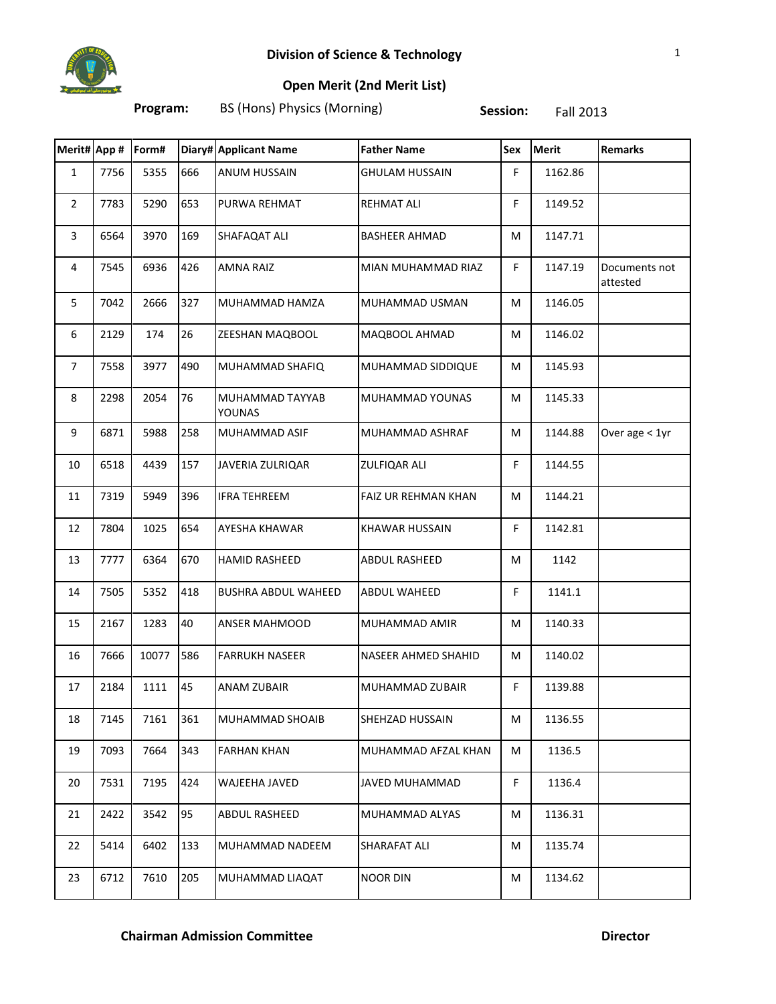

## **Open Merit (2nd Merit List)**

**Program:** BS (Hons) Physics (Morning) **Session:** Fall 2013

| Merit# App #   |      | Form# |     | Diary# Applicant Name      | <b>Father Name</b>    | Sex | <b>Merit</b> | <b>Remarks</b>            |
|----------------|------|-------|-----|----------------------------|-----------------------|-----|--------------|---------------------------|
| $\mathbf{1}$   | 7756 | 5355  | 666 | <b>ANUM HUSSAIN</b>        | <b>GHULAM HUSSAIN</b> | F.  | 1162.86      |                           |
| $\overline{2}$ | 7783 | 5290  | 653 | PURWA REHMAT               | <b>REHMAT ALI</b>     | F   | 1149.52      |                           |
| 3              | 6564 | 3970  | 169 | SHAFAQAT ALI               | <b>BASHEER AHMAD</b>  | M   | 1147.71      |                           |
| $\overline{4}$ | 7545 | 6936  | 426 | <b>AMNA RAIZ</b>           | MIAN MUHAMMAD RIAZ    | F   | 1147.19      | Documents not<br>attested |
| 5              | 7042 | 2666  | 327 | MUHAMMAD HAMZA             | MUHAMMAD USMAN        | M   | 1146.05      |                           |
| 6              | 2129 | 174   | 26  | ZEESHAN MAQBOOL            | MAQBOOL AHMAD         | M   | 1146.02      |                           |
| $\overline{7}$ | 7558 | 3977  | 490 | MUHAMMAD SHAFIQ            | MUHAMMAD SIDDIQUE     | M   | 1145.93      |                           |
| 8              | 2298 | 2054  | 76  | MUHAMMAD TAYYAB<br>YOUNAS  | MUHAMMAD YOUNAS       | М   | 1145.33      |                           |
| 9              | 6871 | 5988  | 258 | MUHAMMAD ASIF              | MUHAMMAD ASHRAF       | М   | 1144.88      | Over age < 1yr            |
| 10             | 6518 | 4439  | 157 | JAVERIA ZULRIQAR           | ZULFIQAR ALI          | F.  | 1144.55      |                           |
| 11             | 7319 | 5949  | 396 | <b>IFRA TEHREEM</b>        | FAIZ UR REHMAN KHAN   | M   | 1144.21      |                           |
| 12             | 7804 | 1025  | 654 | AYESHA KHAWAR              | <b>KHAWAR HUSSAIN</b> | F.  | 1142.81      |                           |
| 13             | 7777 | 6364  | 670 | <b>HAMID RASHEED</b>       | ABDUL RASHEED         | M   | 1142         |                           |
| 14             | 7505 | 5352  | 418 | <b>BUSHRA ABDUL WAHEED</b> | ABDUL WAHEED          | F   | 1141.1       |                           |
| 15             | 2167 | 1283  | 40  | <b>ANSER MAHMOOD</b>       | MUHAMMAD AMIR         | M   | 1140.33      |                           |
| 16             | 7666 | 10077 | 586 | <b>FARRUKH NASEER</b>      | NASEER AHMED SHAHID   | M   | 1140.02      |                           |
| 17             | 2184 | 1111  | 45  | <b>ANAM ZUBAIR</b>         | MUHAMMAD ZUBAIR       | F   | 1139.88      |                           |
| 18             | 7145 | 7161  | 361 | MUHAMMAD SHOAIB            | SHEHZAD HUSSAIN       | м   | 1136.55      |                           |
| 19             | 7093 | 7664  | 343 | <b>FARHAN KHAN</b>         | MUHAMMAD AFZAL KHAN   | М   | 1136.5       |                           |
| 20             | 7531 | 7195  | 424 | WAJEEHA JAVED              | JAVED MUHAMMAD        | F   | 1136.4       |                           |
| 21             | 2422 | 3542  | 95  | ABDUL RASHEED              | MUHAMMAD ALYAS        | M   | 1136.31      |                           |
| 22             | 5414 | 6402  | 133 | MUHAMMAD NADEEM            | SHARAFAT ALI          | M   | 1135.74      |                           |
| 23             | 6712 | 7610  | 205 | MUHAMMAD LIAQAT            | <b>NOOR DIN</b>       | M   | 1134.62      |                           |